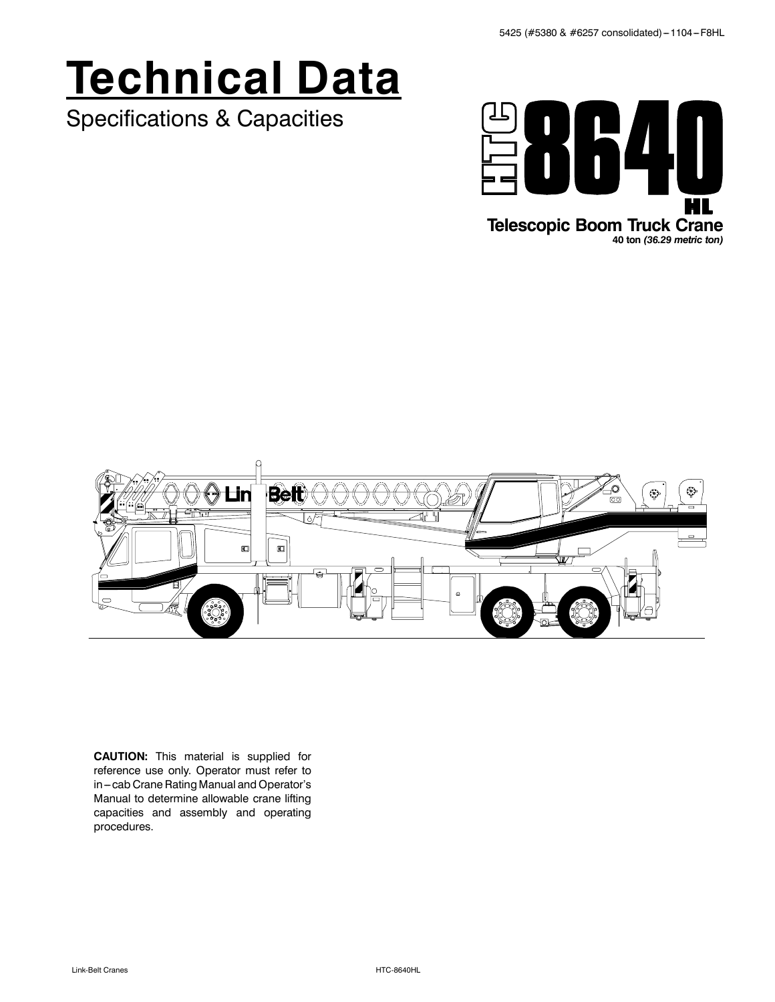# **Technical Data**

Specifications & Capacities





**CAUTION:** This material is supplied for reference use only. Operator must refer to in-cab Crane Rating Manual and Operator's Manual to determine allowable crane lifting capacities and assembly and operating procedures.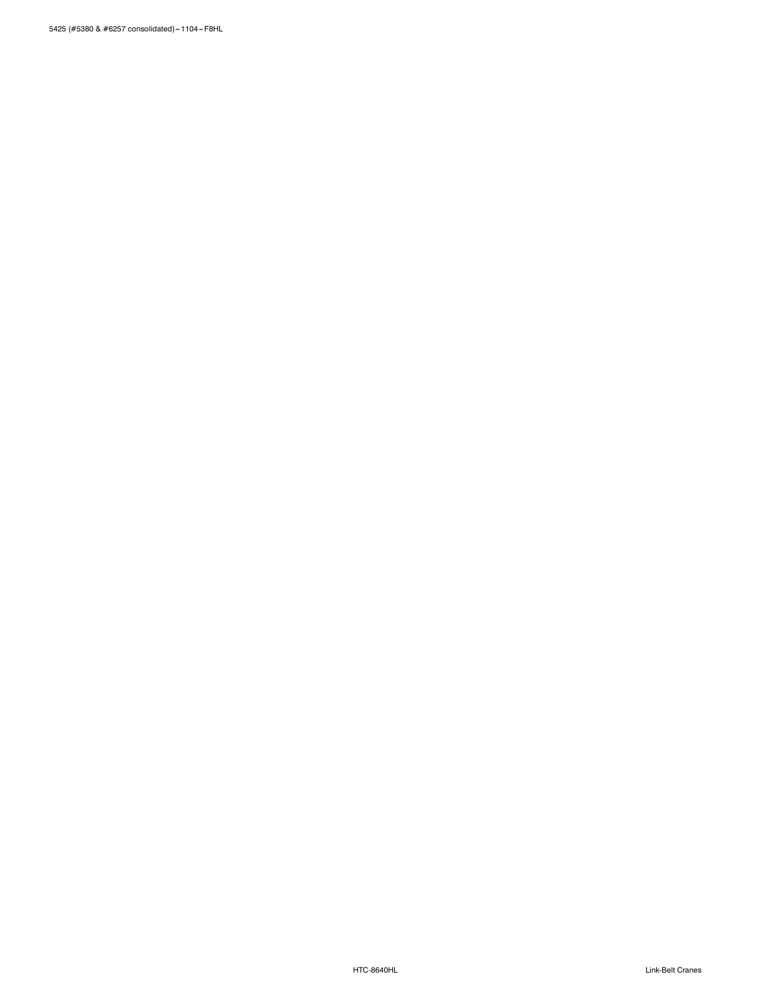5425 (#5380 & #6257 consolidated) - 1104 - F8HL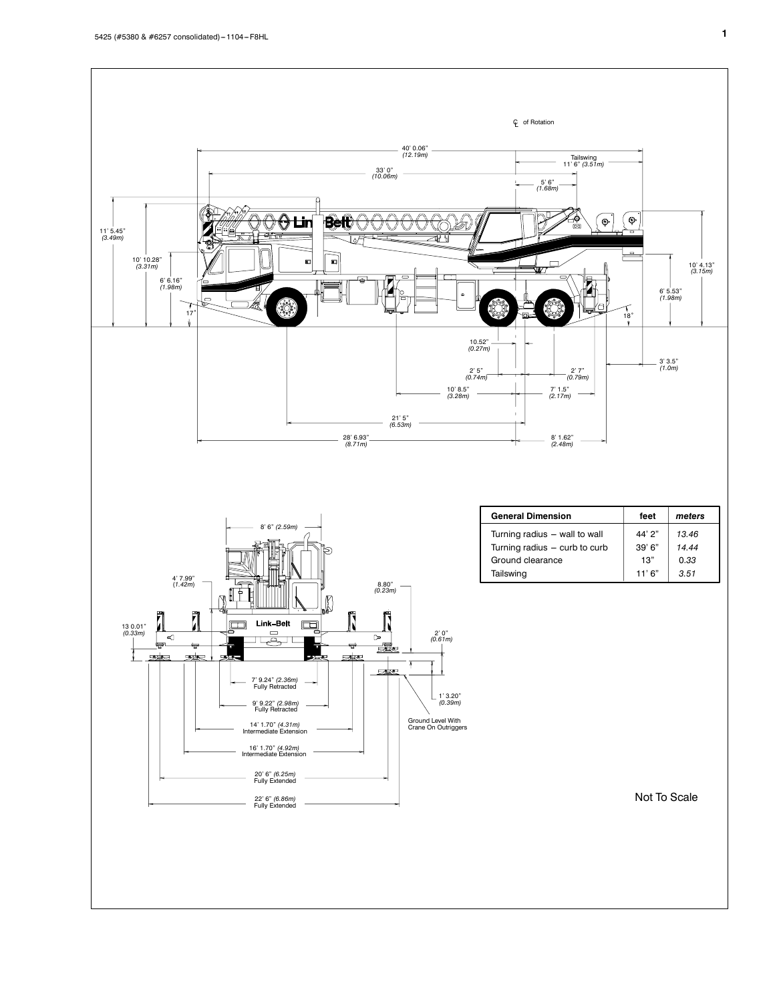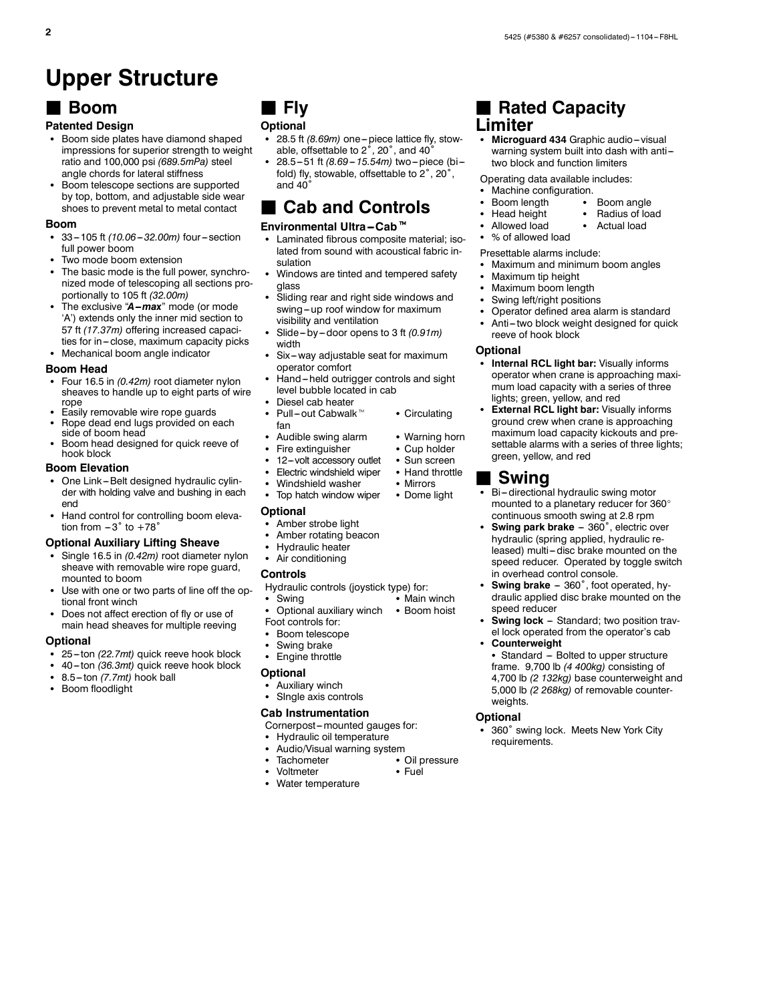# **Upper Structure**

## J **Boom**

#### **Patented Design**

- Boom side plates have diamond shaped impressions for superior strength to weight ratio and 100,000 psi *(689.5mPa)* steel angle chords for lateral stiffness
- Boom telescope sections are supported by top, bottom, and adjustable side wear shoes to prevent metal to metal contact

#### **Boom**

- 33-105 ft (10.06-32.00m) four-section full power boom
- Two mode boom extension
- The basic mode is the full power, synchronized mode of telescoping all sections proportionally to 105 ft *(32.00m)*
- The exclusive "**A-max**" mode (or mode 'A') extends only the inner mid section to 57 ft *(17.37m)* offering increased capaci-
- ties for in-close, maximum capacity picks Mechanical boom angle indicator

#### **Boom Head**

- Four 16.5 in (0.42m) root diameter nylon sheaves to handle up to eight parts of wire rope
- Easily removable wire rope guards
- Rope dead end lugs provided on each side of boom head
- Boom head designed for quick reeve of hook block

#### **Boom Elevation**

- One Link-Belt designed hydraulic cylinder with holding valve and bushing in each end
- Hand control for controlling boom elevation from  $-3°$  to  $+78°$

#### **Optional Auxiliary Lifting Sheave**

- Single 16.5 in (0.42m) root diameter nylon sheave with removable wire rope guard, mounted to boom
- Use with one or two parts of line off the optional front winch
- Does not affect erection of fly or use of main head sheaves for multiple reeving

#### **Optional**

- 25-ton (22.7mt) quick reeve hook block
- $\cdot$  40-ton *(36.3mt)* quick reeve hook block
- $\cdot$  8.5 $-$ ton *(7.7mt)* hook ball
- Boom floodlight

## J **Fly**

#### **Optional**

- 28.5 ft (8.69m) one-piece lattice fly, stowable, offsettable to 2˚, 20˚, and 40˚
- 28.5 -- 51 ft *(8.69 -- 15.54m)* two -- piece (bi -fold) fly, stowable, offsettable to 2˚, 20˚, and  $40$

## ■ Cab and Controls

#### **Environmental Ultra-Cab™**

- Laminated fibrous composite material; isolated from sound with acoustical fabric insulation
- Windows are tinted and tempered safety glass
- Sliding rear and right side windows and  $swing$ -up roof window for maximum visibility and ventilation
- Slide-by-door opens to 3 ft *(0.91m)* width
- Six-way adjustable seat for maximum operator comfort
- Hand-held outrigger controls and sight level bubble located in cab
- Diesel cab heater
	- Pull-out Cabwalk<sup>™</sup> Circulating
- fan Audible swing alarm • Warning horn
- Fire extinguisher Cup holder
	- 12-volt accessory outlet <br>Electric windshield wiper Hand throttle
	- Electric windshield wiper
- Windshield washer Mirrors<br>Top hatch window wiper Dome light
- Top hatch window wiper

#### **Optional**

- Amber strobe light
- Amber rotating beacon
- Hydraulic heater
- Air conditioning

#### **Controls**

- Hydraulic controls (joystick type) for:
- 
- Swing Swing Main winch<br>• Optional auxiliary winch Boom hoist Optional auxiliary winch
- Foot controls for:
- Boom telescope
- Swing brake
- Engine throttle

#### **Optional**

- **Auxiliary winch**
- Single axis controls

#### **Cab Instrumentation**

- Cornerpost-mounted gauges for:
- Hydraulic oil temperature
- Audio/Visual warning system
	- Tachometer · Gil pressure<br>
	Voltmeter · · Fuel
	- Voltmeter
- Water temperature

## **■ Rated Capacity Limiter**

**Microguard 434 Graphic audio-visual** warning system built into dash with antitwo block and function limiters

Operating data available includes:

- Machine configuration.
	- Boom length · Boom angle<br>Head height · Radius of loa
		- Radius of load
	- Allowed load Actual load
- S % of allowed load

Presettable alarms include:

- Maximum and minimum boom angles
- Maximum tip height
- Maximum boom length
- Swing left/right positions
- Operator defined area alarm is standard
- Anti-two block weight designed for quick reeve of hook block

#### **Optional**

- Internal RCL light bar: Visually informs operator when crane is approaching maximum load capacity with a series of three lights; green, yellow, and red
- **External RCL light bar: Visually informs** ground crew when crane is approaching maximum load capacity kickouts and presettable alarms with a series of three lights; green, yellow, and red

#### J **Swing**

- Bi-directional hydraulic swing motor mounted to a planetary reducer for 360° continuous smooth swing at 2.8 rpm
- **Swing park brake** 360°, electric over hydraulic (spring applied, hydraulic released) multi-disc brake mounted on the speed reducer. Operated by toggle switch in overhead control console.
- **Swing brake** 360°, foot operated, hydraulic applied disc brake mounted on the speed reducer
- **Swing lock** Standard; two position travel lock operated from the operator's cab
- **Counterweight** • Standard - Bolted to upper structure frame. 9,700 lb *(4 400kg)* consisting of 4,700 lb *(2 132kg)* base counterweight and 5,000 lb *(2 268kg)* of removable counterweights.

#### **Optional**

• 360° swing lock. Meets New York City requirements.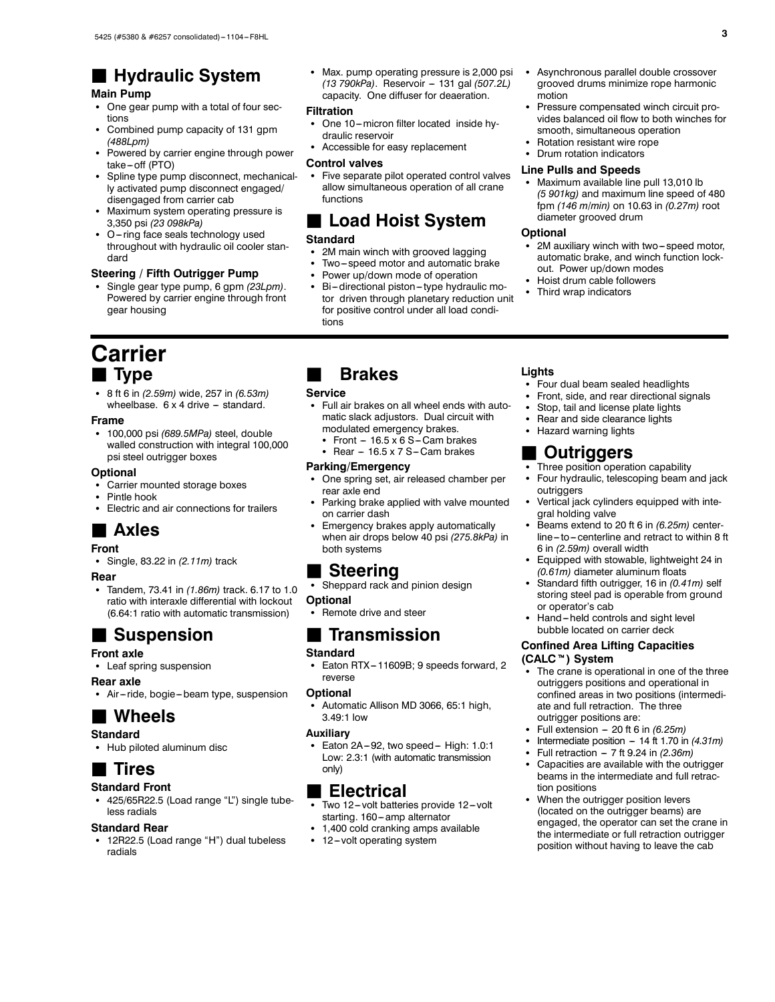## **Hydraulic System**

#### **Main Pump**

- One gear pump with a total of four sections
- Combined pump capacity of 131 gpm *(488Lpm)*
- Powered by carrier engine through power take-off (PTO)
- Spline type pump disconnect, mechanically activated pump disconnect engaged/ disengaged from carrier cab
- Maximum system operating pressure is 3,350 psi *(23 098kPa)*
- O-ring face seals technology used throughout with hydraulic oil cooler standard

#### **Steering / Fifth Outrigger Pump**

Single gear type pump, 6 gpm (23Lpm). Powered by carrier engine through front gear housing

• Max. pump operating pressure is 2,000 psi *(13 790kPa)*. Reservoir --- 131 gal *(507.2L)* capacity. One diffuser for deaeration.

#### **Filtration**

- One 10-micron filter located inside hydraulic reservoir
- Accessible for easy replacement

#### **Control valves**

Five separate pilot operated control valves allow simultaneous operation of all crane functions

## J **Load Hoist System**

#### **Standard**

- 2M main winch with grooved lagging
- Two-speed motor and automatic brake
- Power up/down mode of operation
- Bi-directional piston-type hydraulic motor driven through planetary reduction unit for positive control under all load conditions
- Asynchronous parallel double crossover grooved drums minimize rope harmonic motion
- Pressure compensated winch circuit provides balanced oil flow to both winches for smooth, simultaneous operation
- Rotation resistant wire rope
- Drum rotation indicators

#### **Line Pulls and Speeds**

Maximum available line pull 13,010 lb *(5 901kg)* and maximum line speed of 480 fpm *(146 m/min)* on 10.63 in *(0.27m)* root diameter grooved drum

#### **Optional**

- 2M auxiliary winch with two-speed motor, automatic brake, and winch function lockout. Power up/down modes
- Hoist drum cable followers
- Third wrap indicators

## **Carrier** J **Type**

S 8 ft 6 in *(2.59m)* wide, 257 in *(6.53m)* wheelbase.  $6 \times 4$  drive -- standard.

#### **Frame**

S 100,000 psi *(689.5MPa)* steel, double walled construction with integral 100,000 psi steel outrigger boxes

#### **Optional**

- Carrier mounted storage boxes
- Pintle hook
- Electric and air connections for trailers

## **L** Axles

#### **Front**

• Single, 83.22 in (2.11m) track

#### **Rear**

S Tandem, 73.41 in *(1.86m)* track. 6.17 to 1.0 ratio with interaxle differential with lockout (6.64:1 ratio with automatic transmission)

## J **Suspension**

#### **Front axle**

• Leaf spring suspension

#### **Rear axle**

• Air-ride, bogie-beam type, suspension

## J **Wheels**

#### **Standard**

• Hub piloted aluminum disc

## J **Tires**

#### **Standard Front**

• 425/65R22.5 (Load range "L") single tubeless radials

#### **Standard Rear**

• 12R22.5 (Load range "H") dual tubeless radials

## J **Brakes**

#### **Service**

- Full air brakes on all wheel ends with automatic slack adjustors. Dual circuit with modulated emergency brakes.
	- Front  $-16.5 \times 6$  S Cam brakes
	- $\cdot$  Rear 16.5 x 7 S Cam brakes

#### **Parking/Emergency**

- One spring set, air released chamber per rear axle end
- Parking brake applied with valve mounted on carrier dash
- Emergency brakes apply automatically when air drops below 40 psi *(275.8kPa)* in both systems

## J **Steering**

Sheppard rack and pinion design

#### **Optional**

• Remote drive and steer

## J **Transmission**

#### **Standard**

• Eaton RTX -- 11609B; 9 speeds forward, 2 reverse

### **Optional**

Automatic Allison MD 3066, 65:1 high, 3.49:1 low

#### **Auxiliary**

 $\bullet$  Eaton 2A-92, two speed -- High: 1.0:1 Low: 2.3:1 (with automatic transmission only)

#### J **Electrical**

- Two 12-volt batteries provide 12-volt starting. 160-amp alternator
- 1,400 cold cranking amps available  $\cdot$  12-volt operating system

#### **Lights**

- Four dual beam sealed headlights
- Front, side, and rear directional signals
- Stop, tail and license plate lights
- Rear and side clearance lights
- Hazard warning lights

## **Outriggers**

- Three position operation capability Four hydraulic, telescoping beam and jack
- outriggers Vertical jack cylinders equipped with integral holding valve
- S Beams extend to 20 ft 6 in *(6.25m)* centerline-to-centerline and retract to within 8 ft 6 in *(2.59m)* overall width
- Equipped with stowable, lightweight 24 in *(0.61m)* diameter aluminum floats
- Standard fifth outrigger, 16 in (0.41m) self storing steel pad is operable from ground or operator's cab
- Hand-held controls and sight level bubble located on carrier deck

#### **Confined Area Lifting Capacities (CALC**t**) System**

- The crane is operational in one of the three outriggers positions and operational in confined areas in two positions (intermediate and full retraction. The three outrigger positions are:
- Full extension -- 20 ft 6 in *(6.25m)*
- Intermediate position  $-14$  ft 1.70 in  $(4.31m)$

Capacities are available with the outrigger beams in the intermediate and full retrac-

Full retraction -- 7 ft 9.24 in *(2.36m)* 

When the outrigger position levers (located on the outrigger beams) are engaged, the operator can set the crane in the intermediate or full retraction outrigger position without having to leave the cab

tion positions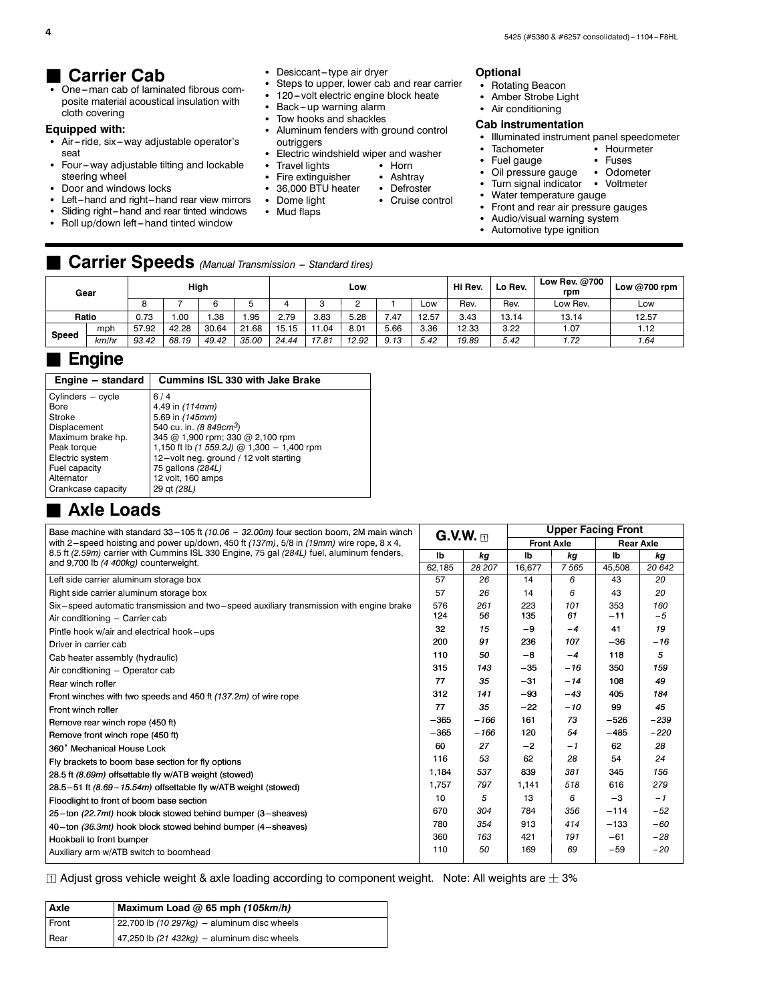## **Carrier Cab**

One-man cab of laminated fibrous composite material acoustical insulation with cloth covering

#### **Equipped with:**

- Air-ride, six-way adjustable operator's seat
- Four-way adjustable tilting and lockable steering wheel
- Door and windows locks
- Left-hand and right-hand rear view mirrors
- Sliding right-hand and rear tinted windows
- Roll up/down left-hand tinted window
- Desiccant-type air dryer<br>• Steps to upper lower cab
- Steps to upper, lower cab and rear carrier
- 120-volt electric engine block heate
- Back-up warning alarm
- Tow hooks and shackles<br>• Aluminum fenders with a
- Aluminum fenders with ground control outriggers
- Electric windshield wiper and washer
- Travel lights Horn<br>• Fire extinguisher Ashtray
- $\cdot$  Fire extinguisher
- 36,000 BTU heater Defroster • Dome light • Cruise control
- 
- Mud flaps

#### **Optional**

- Rotating Beacon
- Amber Strobe Light
- Air conditioning

#### **Cab instrumentation**

- Illuminated instrument panel speedometer
- Tachometer Hourmeter
	-
- Fuel gauge Fuses<br>• Oil pressure gauge Odometer • Oil pressure gauge •
- $\bullet$  Turn signal indicator  $\bullet$  Voltmeter
- Water temperature gauge
- Front and rear air pressure gauges
- Audio/visual warning system
- Automotive type ignition

## **Carrier Speeds** (Manual Transmission - Standard tires)

| Gear         |       |       |       | High  |       |       |          | Low   |      |       | Hi Rev. | Lo Rev. | Low Rev. @700<br>rpm | Low @700 rpm |
|--------------|-------|-------|-------|-------|-------|-------|----------|-------|------|-------|---------|---------|----------------------|--------------|
|              |       |       |       | ⌒     |       |       | $\Omega$ |       |      | LOW   | Rev.    | Rev.    | Low Rev.             | Low          |
| Ratio        |       | 0.73  | .00   | .38   | .95   | 2.79  | 3.83     | 5.28  | 7.47 | 12.57 | 3.43    | 13.14   | 13.14                | 12.57        |
|              | mph   | 57.92 | 42.28 | 30.64 | 21.68 | 15.15 | 11.04    | 8.01  | 5.66 | 3.36  | 12.33   | 3.22    | 1.07                 | 1.12         |
| <b>Speed</b> | km/hr | 93.42 | 68.19 | 49.42 | 35.00 | 24.44 | 17.81    | 12.92 | 9.13 | 5.42  | 19.89   | 5.42    | 1.72                 | 1.64         |

## **Engine**

| Engine - standard  | <b>Cummins ISL 330 with Jake Brake</b>     |
|--------------------|--------------------------------------------|
| Cylinders - cycle  | 6/4                                        |
| Bore               | 4.49 in (114mm)                            |
| Stroke             | 5.69 in (145mm)                            |
| Displacement       | 540 cu. in. (8 849cm <sup>3</sup> )        |
| Maximum brake hp.  | 345 @ 1,900 rpm; 330 @ 2,100 rpm           |
| Peak torque        | 1,150 ft lb (1 559.2J) @ 1,300 - 1,400 rpm |
| Electric system    | 12-volt neg. ground / 12 volt starting     |
| Fuel capacity      | 75 gallons (284L)                          |
| Alternator         | 12 volt, 160 amps                          |
| Crankcase capacity | 29 gt (28L)                                |

## J **Axle Loads**

| Base machine with standard $33-105$ ft (10.06 - 32.00m) four section boom, 2M main winch  | $G.V.W.$ m |        |                   |         | <b>Upper Facing Front</b> |                  |
|-------------------------------------------------------------------------------------------|------------|--------|-------------------|---------|---------------------------|------------------|
| with 2-speed hoisting and power up/down, 450 ft (137m), 5/8 in (19mm) wire rope, 8 x 4,   |            |        | <b>Front Axle</b> |         |                           | <b>Rear Axle</b> |
| 8.5 ft (2.59m) carrier with Cummins ISL 330 Engine, 75 gal (284L) fuel, aluminum fenders, | Ib         | kg     | Ib                | kg      | Ib                        | kg               |
| and 9,700 lb (4 400kg) counterweight.                                                     | 62,185     | 28 207 | 16,677            | 7 5 6 5 | 45,508                    | 20 642           |
| Left side carrier aluminum storage box                                                    | 57         | 26     | 14                | 6       | 43                        | 20               |
| Right side carrier aluminum storage box                                                   | 57         | 26     | 14                | 6       | 43                        | 20               |
| Six-speed automatic transmission and two-speed auxiliary transmission with engine brake   | 576        | 261    | 223               | 101     | 353                       | 160              |
| Air conditioning - Carrier cab                                                            | 124        | 56     | 135               | 61      | $-11$                     | $-5$             |
| Pintle hook w/air and electrical hook-ups                                                 | 32         | 15     | -9                | $-4$    | 41                        | 19               |
| Driver in carrier cab                                                                     | 200        | 91     | 236               | 107     | $-36$                     | $-16$            |
| Cab heater assembly (hydraulic)                                                           | 110        | 50     | -8                | $-4$    | 118                       | 5                |
| Air conditioning - Operator cab                                                           | 315        | 143    | $-35$             | $-16$   | 350                       | 159              |
| Rear winch roller                                                                         | 77         | 35     | $-31$             | $-14$   | 108                       | 49               |
| Front winches with two speeds and 450 ft (137.2m) of wire rope                            | 312        | 141    | $-93$             | $-43$   | 405                       | 184              |
| Front winch roller                                                                        | 77         | 35     | $-22$             | $-10$   | 99                        | 45               |
| Remove rear winch rope (450 ft)                                                           | $-365$     | $-166$ | 161               | 73      | $-526$                    | $-239$           |
| Remove front winch rope (450 ft)                                                          | $-365$     | $-166$ | 120               | 54      | $-485$                    | $-220$           |
| 360° Mechanical House Lock                                                                | 60         | 27     | $-2$              | $-1$    | 62                        | 28               |
| Fly brackets to boom base section for fly options                                         | 116        | 53     | 62                | 28      | 54                        | 24               |
| 28.5 ft (8.69m) offsettable fly w/ATB weight (stowed)                                     | 1,184      | 537    | 839               | 381     | 345                       | 156              |
| $28.5-51$ ft (8.69 - 15.54m) offsettable fly w/ATB weight (stowed)                        | 1,757      | 797    | 1,141             | 518     | 616                       | 279              |
| Floodlight to front of boom base section                                                  | 10         | 5      | 13                | 6       | $-3$                      | $-1$             |
| 25-ton (22.7mt) hook block stowed behind bumper (3-sheaves)                               | 670        | 304    | 784               | 356     | $-114$                    | $-52$            |
| 40-ton (36.3mt) hook block stowed behind bumper (4-sheaves)                               | 780        | 354    | 913               | 414     | $-133$                    | $-60$            |
| Hookball to front bumper                                                                  | 360        | 163    | 421               | 191     | $-61$                     | $-28$            |
| Auxiliary arm w/ATB switch to boomhead                                                    | 110        | 50     | 169               | 69      | $-59$                     | $-20$            |
|                                                                                           |            |        |                   |         |                           |                  |

 $\Box$  Adjust gross vehicle weight & axle loading according to component weight. Note: All weights are  $\pm$  3%

| Axle  | Maximum Load @ 65 mph $(105km/h)$                     |
|-------|-------------------------------------------------------|
| Front | 22,700 lb $(10\ 297kg)$ - aluminum disc wheels        |
| Rear  | 47,250 lb $(21\ 432\text{kg})$ – aluminum disc wheels |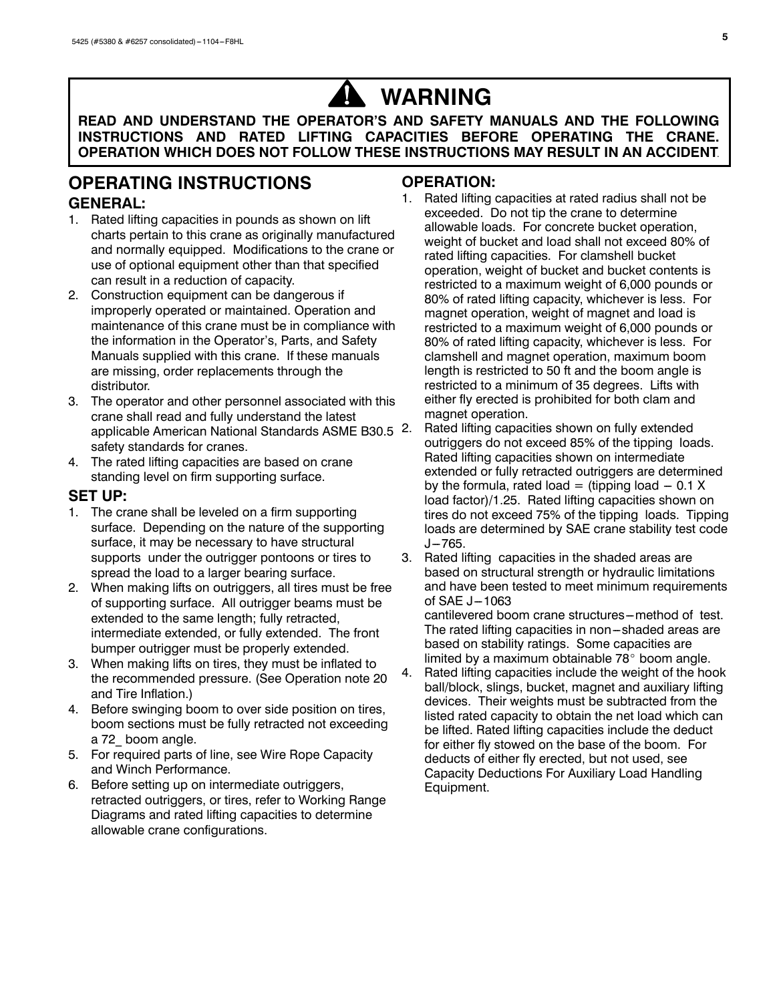## **WARNING** W

**READ AND UNDERSTAND THE OPERATOR'S AND SAFETY MANUALS AND THE FOLLOWING INSTRUCTIONS AND RATED LIFTING CAPACITIES BEFORE OPERATING THE CRANE. OPERATION WHICH DOES NOT FOLLOW THESE INSTRUCTIONS MAY RESULT IN AN ACCIDENT**.

## **OPERATING INSTRUCTIONS GENERAL:**

- 1. Rated lifting capacities in pounds as shown on lift charts pertain to this crane as originally manufactured and normally equipped. Modifications to the crane or use of optional equipment other than that specified can result in a reduction of capacity.
- 2. Construction equipment can be dangerous if improperly operated or maintained. Operation and maintenance of this crane must be in compliance with the information in the Operator's, Parts, and Safety Manuals supplied with this crane. If these manuals are missing, order replacements through the distributor.
- 3. The operator and other personnel associated with this crane shall read and fully understand the latest applicable American National Standards ASME B30.5 <sup>2.</sup> safety standards for cranes.
- 4. The rated lifting capacities are based on crane standing level on firm supporting surface.

## **SET UP:**

- 1. The crane shall be leveled on a firm supporting surface. Depending on the nature of the supporting surface, it may be necessary to have structural supports under the outrigger pontoons or tires to spread the load to a larger bearing surface.
- 2. When making lifts on outriggers, all tires must be free of supporting surface. All outrigger beams must be extended to the same length; fully retracted, intermediate extended, or fully extended. The front bumper outrigger must be properly extended.
- 3. When making lifts on tires, they must be inflated to the recommended pressure. (See Operation note 20 and Tire Inflation.)
- 4. Before swinging boom to over side position on tires, boom sections must be fully retracted not exceeding a 72\_ boom angle.
- 5. For required parts of line, see Wire Rope Capacity and Winch Performance.
- 6. Before setting up on intermediate outriggers, retracted outriggers, or tires, refer to Working Range Diagrams and rated lifting capacities to determine allowable crane configurations.

## **OPERATION:**

- 1. Rated lifting capacities at rated radius shall not be exceeded. Do not tip the crane to determine allowable loads. For concrete bucket operation, weight of bucket and load shall not exceed 80% of rated lifting capacities. For clamshell bucket operation, weight of bucket and bucket contents is restricted to a maximum weight of 6,000 pounds or 80% of rated lifting capacity, whichever is less. For magnet operation, weight of magnet and load is restricted to a maximum weight of 6,000 pounds or 80% of rated lifting capacity, whichever is less. For clamshell and magnet operation, maximum boom length is restricted to 50 ft and the boom angle is restricted to a minimum of 35 degrees. Lifts with either fly erected is prohibited for both clam and magnet operation.
- Rated lifting capacities shown on fully extended outriggers do not exceed 85% of the tipping loads. Rated lifting capacities shown on intermediate extended or fully retracted outriggers are determined by the formula, rated load = (tipping load  $-0.1$  X load factor)/1.25. Rated lifting capacities shown on tires do not exceed 75% of the tipping loads. Tipping loads are determined by SAE crane stability test code  $J - 765.$
- 3. Rated lifting capacities in the shaded areas are based on structural strength or hydraulic limitations and have been tested to meet minimum requirements of  $SAE$  J $-1063$

cantilevered boom crane structures-method of test. The rated lifting capacities in non-shaded areas are based on stability ratings. Some capacities are limited by a maximum obtainable  $78^\circ$  boom angle.

4. Rated lifting capacities include the weight of the hook ball/block, slings, bucket, magnet and auxiliary lifting devices. Their weights must be subtracted from the listed rated capacity to obtain the net load which can be lifted. Rated lifting capacities include the deduct for either fly stowed on the base of the boom. For deducts of either fly erected, but not used, see Capacity Deductions For Auxiliary Load Handling Equipment.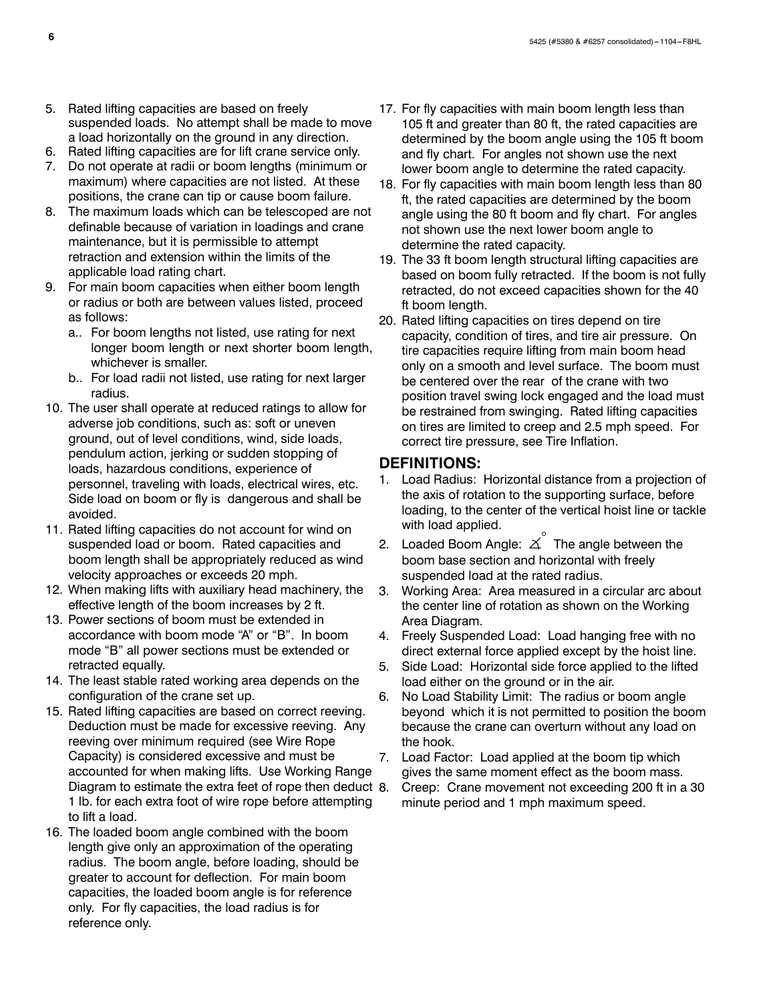- 5. Rated lifting capacities are based on freely suspended loads. No attempt shall be made to move a load horizontally on the ground in any direction.
- 6. Rated lifting capacities are for lift crane service only.
- 7. Do not operate at radii or boom lengths (minimum or maximum) where capacities are not listed. At these positions, the crane can tip or cause boom failure.
- 8. The maximum loads which can be telescoped are not definable because of variation in loadings and crane maintenance, but it is permissible to attempt retraction and extension within the limits of the applicable load rating chart.
- 9. For main boom capacities when either boom length or radius or both are between values listed, proceed as follows:
	- a.. For boom lengths not listed, use rating for next longer boom length or next shorter boom length, whichever is smaller.
	- b.. For load radii not listed, use rating for next larger radius.
- 10. The user shall operate at reduced ratings to allow for adverse job conditions, such as: soft or uneven ground, out of level conditions, wind, side loads, pendulum action, jerking or sudden stopping of loads, hazardous conditions, experience of personnel, traveling with loads, electrical wires, etc. Side load on boom or fly is dangerous and shall be avoided.
- 11. Rated lifting capacities do not account for wind on suspended load or boom. Rated capacities and boom length shall be appropriately reduced as wind velocity approaches or exceeds 20 mph.
- 12. When making lifts with auxiliary head machinery, the effective length of the boom increases by 2 ft.
- 13. Power sections of boom must be extended in accordance with boom mode "A" or "B". In boom mode "B" all power sections must be extended or retracted equally.
- 14. The least stable rated working area depends on the configuration of the crane set up.
- 15. Rated lifting capacities are based on correct reeving. Deduction must be made for excessive reeving. Any reeving over minimum required (see Wire Rope Capacity) is considered excessive and must be accounted for when making lifts. Use Working Range Diagram to estimate the extra feet of rope then deduct 8. 1 lb. for each extra foot of wire rope before attempting to lift a load.
- 16. The loaded boom angle combined with the boom length give only an approximation of the operating radius. The boom angle, before loading, should be greater to account for deflection. For main boom capacities, the loaded boom angle is for reference only. For fly capacities, the load radius is for reference only.
- 17. For fly capacities with main boom length less than 105 ft and greater than 80 ft, the rated capacities are determined by the boom angle using the 105 ft boom and fly chart. For angles not shown use the next lower boom angle to determine the rated capacity.
- 18. For fly capacities with main boom length less than 80 ft, the rated capacities are determined by the boom angle using the 80 ft boom and fly chart. For angles not shown use the next lower boom angle to determine the rated capacity.
- 19. The 33 ft boom length structural lifting capacities are based on boom fully retracted. If the boom is not fully retracted, do not exceed capacities shown for the 40 ft boom length.
- 20. Rated lifting capacities on tires depend on tire capacity, condition of tires, and tire air pressure. On tire capacities require lifting from main boom head only on a smooth and level surface. The boom must be centered over the rear of the crane with two position travel swing lock engaged and the load must be restrained from swinging. Rated lifting capacities on tires are limited to creep and 2.5 mph speed. For correct tire pressure, see Tire Inflation.

## **DEFINITIONS:**

- 1. Load Radius: Horizontal distance from a projection of the axis of rotation to the supporting surface, before loading, to the center of the vertical hoist line or tackle with load applied.
- 2. Loaded Boom Angle:  $\measuredangle$  The angle between the boom base section and horizontal with freely suspended load at the rated radius.
- 3. Working Area: Area measured in a circular arc about the center line of rotation as shown on the Working Area Diagram.
- 4. Freely Suspended Load: Load hanging free with no direct external force applied except by the hoist line.
- 5. Side Load: Horizontal side force applied to the lifted load either on the ground or in the air.
- 6. No Load Stability Limit: The radius or boom angle beyond which it is not permitted to position the boom because the crane can overturn without any load on the hook.
- 7. Load Factor: Load applied at the boom tip which gives the same moment effect as the boom mass. Creep: Crane movement not exceeding 200 ft in a 30 minute period and 1 mph maximum speed.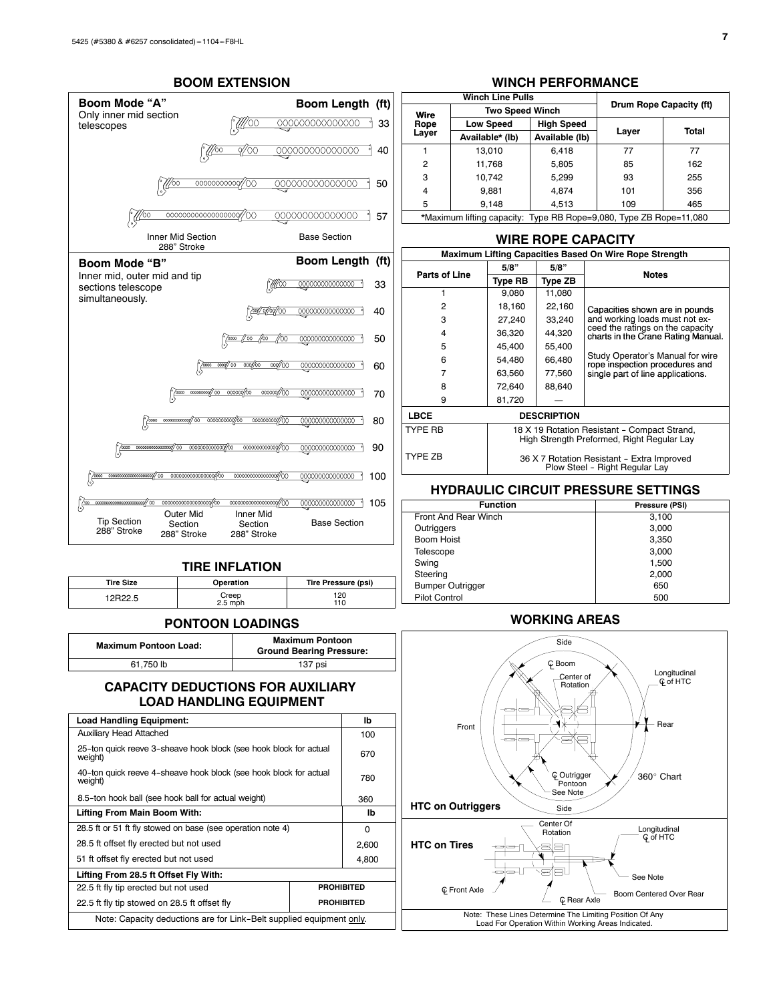

**TIRE INFLATION**

| <b>Tire Size</b> | Operation                  | Tire Pressure (psi) |
|------------------|----------------------------|---------------------|
| 12R22.5          | Creep<br>$2.5 \text{ mph}$ | 120<br>110          |
|                  |                            |                     |

#### **PONTOON LOADINGS**

| <b>Maximum Pontoon Load:</b> | <b>Maximum Pontoon</b><br><b>Ground Bearing Pressure:</b> |
|------------------------------|-----------------------------------------------------------|
| 61.750 lb                    | 137 psi                                                   |

#### **CAPACITY DEDUCTIONS FOR AUXILIARY LOAD HANDLING EQUIPMENT**

| <b>Load Handling Equipment:</b>                                              |                   |       |  |  |  |
|------------------------------------------------------------------------------|-------------------|-------|--|--|--|
| Auxiliary Head Attached                                                      |                   | 100   |  |  |  |
| 25-ton quick reeve 3-sheave hook block (see hook block for actual<br>weight) |                   | 670   |  |  |  |
| 40-ton quick reeve 4-sheave hook block (see hook block for actual<br>weight) |                   | 780   |  |  |  |
| 8.5-ton hook ball (see hook ball for actual weight)                          |                   | 360   |  |  |  |
| Lifting From Main Boom With:                                                 |                   | Ib    |  |  |  |
| 28.5 ft or 51 ft fly stowed on base (see operation note 4)                   |                   | 0     |  |  |  |
| 28.5 ft offset fly erected but not used                                      |                   | 2.600 |  |  |  |
| 51 ft offset fly erected but not used                                        |                   | 4,800 |  |  |  |
| Lifting From 28.5 ft Offset Fly With:                                        |                   |       |  |  |  |
| 22.5 ft fly tip erected but not used                                         | <b>PROHIBITED</b> |       |  |  |  |
| 22.5 ft fly tip stowed on 28.5 ft offset fly                                 | <b>PROHIBITED</b> |       |  |  |  |
| Note: Capacity deductions are for Link-Belt supplied equipment only.         |                   |       |  |  |  |

### **WINCH PERFORMANCE**

|       | <b>Winch Line Pulls</b>                                            |                   | Drum Rope Capacity (ft) |       |  |  |
|-------|--------------------------------------------------------------------|-------------------|-------------------------|-------|--|--|
| Wire  | <b>Two Speed Winch</b>                                             |                   |                         |       |  |  |
| Rope  | <b>Low Speed</b>                                                   | <b>High Speed</b> |                         | Total |  |  |
| Laver | Available* (lb)                                                    | Available (lb)    | Layer                   |       |  |  |
|       | 13.010                                                             | 6.418             | 77                      | 77    |  |  |
| 2     | 11,768                                                             | 5.805             | 85                      | 162   |  |  |
| 3     | 10.742                                                             | 5,299             | 93                      | 255   |  |  |
| 4     | 9.881                                                              | 4,874             | 101                     | 356   |  |  |
| 5     | 9.148                                                              | 4.513             | 109                     | 465   |  |  |
|       | *Maximum lifting capacity: Type RB Rope=9,080, Type ZB Rope=11,080 |                   |                         |       |  |  |

#### **WIRE ROPE CAPACITY**

|               |                                                                              |                                                                                            | Maximum Lifting Capacities Based On Wire Rope Strength                 |  |  |  |  |
|---------------|------------------------------------------------------------------------------|--------------------------------------------------------------------------------------------|------------------------------------------------------------------------|--|--|--|--|
|               | 5/8"                                                                         | 5/8"                                                                                       |                                                                        |  |  |  |  |
| Parts of Line | <b>Type RB</b>                                                               | Type ZB                                                                                    | <b>Notes</b>                                                           |  |  |  |  |
| 1             | 9,080                                                                        | 11,080                                                                                     |                                                                        |  |  |  |  |
| 2             | 18,160                                                                       | 22,160                                                                                     | Capacities shown are in pounds                                         |  |  |  |  |
| 3             | 27.240                                                                       | 33,240                                                                                     | and working loads must not ex-                                         |  |  |  |  |
| 4             | 36,320                                                                       | 44,320                                                                                     | ceed the ratings on the capacity<br>charts in the Crane Rating Manual. |  |  |  |  |
| 5             | 45,400                                                                       | 55,400                                                                                     |                                                                        |  |  |  |  |
| 6             | 54.480                                                                       | 66,480                                                                                     | Study Operator's Manual for wire<br>rope inspection procedures and     |  |  |  |  |
| 7             | 63,560                                                                       | 77,560                                                                                     | single part of line applications.                                      |  |  |  |  |
| 8             | 72,640                                                                       | 88,640                                                                                     |                                                                        |  |  |  |  |
| 9             | 81,720                                                                       |                                                                                            |                                                                        |  |  |  |  |
| <b>LBCE</b>   |                                                                              | <b>DESCRIPTION</b>                                                                         |                                                                        |  |  |  |  |
| TYPE RB       |                                                                              | 18 X 19 Rotation Resistant - Compact Strand,<br>High Strength Preformed, Right Regular Lay |                                                                        |  |  |  |  |
| TYPE ZB       | 36 X 7 Rotation Resistant - Extra Improved<br>Plow Steel - Right Regular Lay |                                                                                            |                                                                        |  |  |  |  |

#### **HYDRAULIC CIRCUIT PRESSURE SETTINGS**

| <b>Function</b>         | Pressure (PSI) |
|-------------------------|----------------|
| Front And Rear Winch    | 3.100          |
| Outriggers              | 3,000          |
| <b>Boom Hoist</b>       | 3,350          |
| Telescope               | 3,000          |
| Swing                   | 1.500          |
| Steering                | 2.000          |
| <b>Bumper Outrigger</b> | 650            |
| <b>Pilot Control</b>    | 500            |

### **WORKING AREAS**

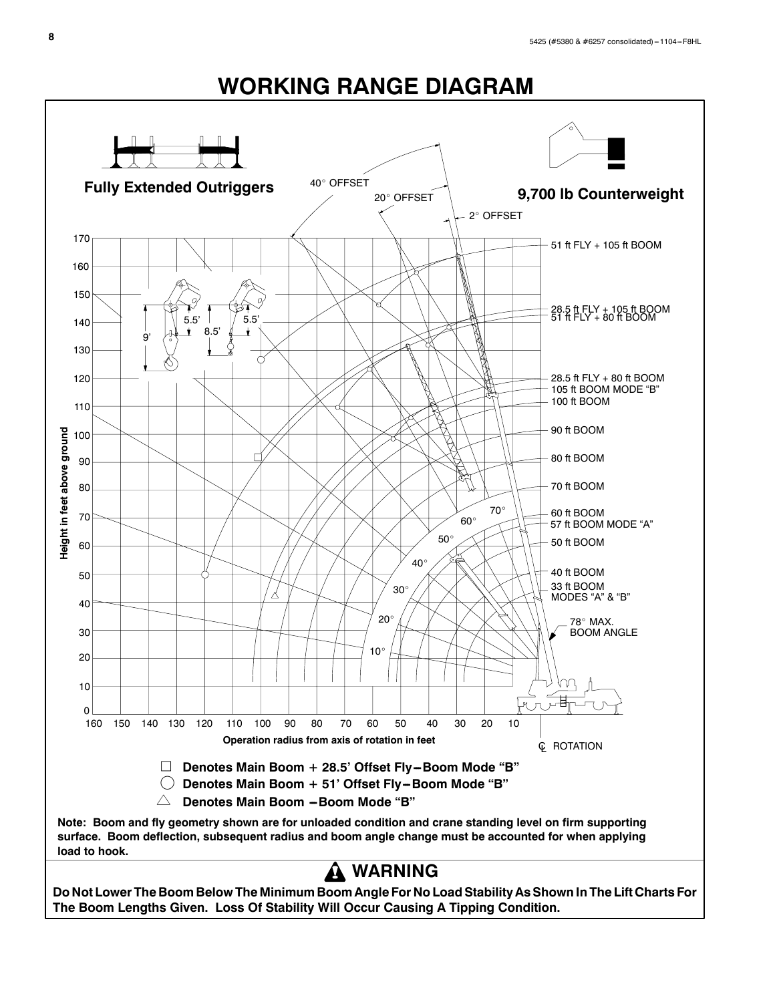

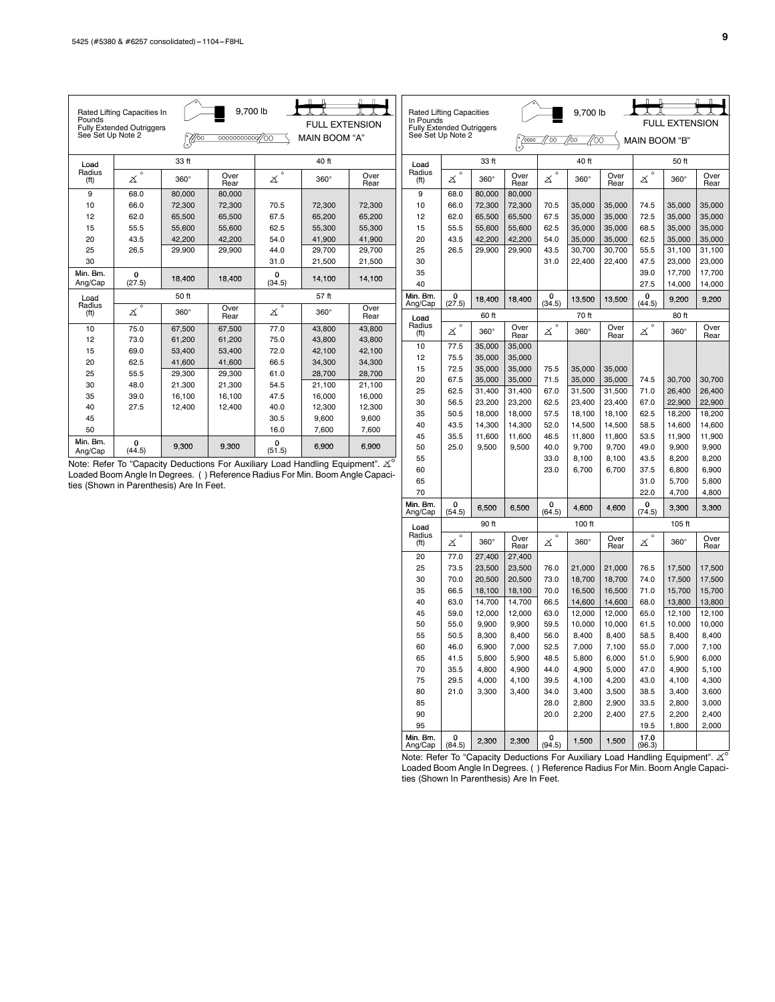| Pounds<br>See Set Up Note 2 | Rated Lifting Capacities In<br><b>Fully Extended Outriggers</b> | <u> Yoo</u> | 9.700 lb     |                      | <b>FULL EXTENSION</b><br><b>MAIN BOOM "A"</b> |              | <b>Rated Lifting Capacities</b><br>In Pounds<br><b>Fully Extended Outriggers</b><br>See Set Up Note 2 |                    |                  | $\sqrt{0000}$    | 00 ⁄                        | 9.700 lb<br>7/00<br>//00 |                  | л.<br>MAIN BOOM "B"         | <b>FULL EXTENSION</b> | $\mathbf{u}$     |
|-----------------------------|-----------------------------------------------------------------|-------------|--------------|----------------------|-----------------------------------------------|--------------|-------------------------------------------------------------------------------------------------------|--------------------|------------------|------------------|-----------------------------|--------------------------|------------------|-----------------------------|-----------------------|------------------|
| Load                        |                                                                 | 33 ft       |              |                      | 40 ft                                         |              | Load                                                                                                  |                    | 33 ft            |                  |                             | 40 ft                    |                  |                             | 50 ft                 |                  |
| Radius<br>(f <sup>t</sup> ) | $\circ$<br>Δ                                                    | $360^\circ$ | Over<br>Rear | $\circ$<br>$\preceq$ | $360^\circ$                                   | Over<br>Rear | Radius<br>(f <sup>t</sup> )                                                                           | $\circ$<br>∡       | $360^\circ$      | Over<br>Rear     | $\circ$<br>$\measuredangle$ | $360^\circ$              | Over<br>Rear     | $\circ$<br>∡                | $360^\circ$           | Over<br>Rear     |
| 9                           | 68.0                                                            | 80,000      | 80,000       |                      |                                               |              | 9                                                                                                     | 68.0               | 80,000           | 80,000           |                             |                          |                  |                             |                       |                  |
| 10                          | 66.0                                                            | 72,300      | 72,300       | 70.5                 | 72,300                                        | 72,300       | 10                                                                                                    | 66.0               | 72,300           | 72,300           | 70.5                        | 35,000                   | 35,000           | 74.5                        | 35.000                | 35,000           |
| 12                          | 62.0                                                            | 65,500      | 65.500       | 67.5                 | 65,200                                        | 65,200       | 12                                                                                                    | 62.0               | 65.500           | 65,500           | 67.5                        | 35,000                   | 35,000           | 72.5                        | 35.000                | 35,000           |
| 15                          | 55.5                                                            | 55,600      | 55.600       | 62.5                 | 55,300                                        | 55,300       | 15                                                                                                    | 55.5               | 55,600           | 55,600           | 62.5                        | 35,000                   | 35,000           | 68.5                        | 35.000                | 35,000           |
| 20                          | 43.5                                                            | 42.200      | 42.200       | 54.0                 | 41.900                                        | 41.900       | 20                                                                                                    | 43.5               | 42,200           | 42,200           | 54.0                        | 35,000                   | 35,000           | 62.5                        | 35.000                | 35,000           |
| 25                          | 26.5                                                            | 29,900      | 29,900       | 44.0                 | 29.700                                        | 29.700       | 25                                                                                                    | 26.5               | 29.900           | 29.900           | 43.5                        | 30.700                   | 30.700           | 55.5                        | 31.100                | 31.100           |
| 30                          |                                                                 |             |              | 31.0                 | 21.500                                        | 21.500       | 30                                                                                                    |                    |                  |                  | 31.0                        | 22,400                   | 22,400           | 47.5                        | 23,000                | 23,000           |
| Min. Bm.                    | $\Omega$                                                        | 18,400      | 18,400       | 0                    | 14.100                                        | 14,100       | 35                                                                                                    |                    |                  |                  |                             |                          |                  | 39.0                        | 17.700                | 17.700           |
| Ang/Cap                     | (27.5)                                                          |             |              | (34.5)               |                                               |              | 40                                                                                                    |                    |                  |                  |                             |                          |                  | 27.5                        | 14,000                | 14,000           |
| Load                        |                                                                 | 50 ft       |              |                      | 57 ft                                         |              | Min. Bm.<br>Ang/Cap                                                                                   | $\Omega$<br>(27.5) | 18.400           | 18.400           | 0<br>(34.5)                 | 13,500                   | 13,500           | 0<br>(44.5)                 | 9,200                 | 9,200            |
| Radius<br>(f <sup>t</sup> ) | $\circ$<br>X                                                    | $360^\circ$ | Over<br>Rear | $\circ$<br>X         | $360^\circ$                                   | Over<br>Rear | Load                                                                                                  |                    | 60 ft            |                  |                             | 70 ft                    |                  |                             | 80 ft                 |                  |
| 10                          | 75.0                                                            | 67.500      | 67,500       | 77.0                 | 43,800                                        | 43,800       | Radius                                                                                                | $\circ$<br>X       | $360^\circ$      | Over             | $\circ$<br>$\measuredangle$ | $360^\circ$              | Over             | $\circ$<br>$\measuredangle$ | $360^\circ$           | Over             |
| 12                          | 73.0                                                            | 61.200      | 61.200       | 75.0                 | 43,800                                        | 43,800       | (f <sup>t</sup> )                                                                                     |                    |                  | Rear             |                             |                          | Rear             |                             |                       | Rear             |
| 15                          | 69.0                                                            | 53,400      | 53.400       | 72.0                 | 42,100                                        | 42,100       | 10                                                                                                    | 77.5               | 35,000           | 35,000           |                             |                          |                  |                             |                       |                  |
| 20                          | 62.5                                                            | 41.600      | 41.600       | 66.5                 | 34,300                                        | 34,300       | 12                                                                                                    | 75.5               | 35,000           | 35,000           |                             |                          |                  |                             |                       |                  |
| 25                          | 55.5                                                            | 29,300      | 29,300       | 61.0                 | 28,700                                        | 28,700       | 15                                                                                                    | 72.5               | 35,000           | 35,000           | 75.5                        | 35,000                   | 35,000           |                             |                       |                  |
| 30                          | 48.0                                                            | 21,300      | 21.300       | 54.5                 | 21.100                                        | 21.100       | 20                                                                                                    | 67.5               | 35,000           | 35,000           | 71.5                        | 35,000                   | 35,000           | 74.5                        | 30.700                | 30,700           |
| 35                          | 39.0                                                            | 16.100      | 16.100       | 47.5                 | 16,000                                        | 16,000       | 25                                                                                                    | 62.5               | 31.400           | 31.400           | 67.0                        | 31,500                   | 31.500           | 71.0                        | 26.400                | 26,400           |
| 40                          | 27.5                                                            | 12,400      | 12,400       | 40.0                 | 12,300                                        | 12,300       | 30                                                                                                    | 56.5               | 23,200           | 23,200           | 62.5                        | 23,400                   | 23.400           | 67.0                        | 22.900                | 22,900           |
| 45                          |                                                                 |             |              | 30.5                 | 9.600                                         | 9.600        | 35<br>40                                                                                              | 50.5<br>43.5       | 18,000           | 18,000           | 57.5<br>52.0                | 18,100                   | 18.100           | 62.5<br>58.5                | 18.200<br>14.600      | 18,200<br>14.600 |
| 50                          |                                                                 |             |              | 16.0                 | 7.600                                         | 7.600        | 45                                                                                                    | 35.5               | 14,300<br>11,600 | 14,300<br>11,600 | 46.5                        | 14,500<br>11,800         | 14,500<br>11,800 | 53.5                        | 11,900                | 11,900           |
| Min. Bm.<br>Ang/Cap         | 0<br>(44.5)                                                     | 9.300       | 9.300        | 0<br>(51.5)          | 6.900                                         | 6.900        | 50                                                                                                    | 25.0               | 9.500            | 9.500            | 40.0                        | 9.700                    | 9.700            | 49.0                        | 9,900                 | 9.900            |
|                             |                                                                 |             |              |                      |                                               |              |                                                                                                       |                    |                  |                  |                             |                          |                  |                             |                       |                  |

Note: Refer To "Capacity Deductions For Auxiliary Load Handling Equipment".  $\overline{\mathcal{X}}^\circ$ <br>Loaded Boom Angle In Degrees. ( ) Reference Radius For Min. Boom Angle Capacities (Shown in Parenthesis) Are In Feet.

| 15                          | 55.5         | 55,600      | 55,600       | 62.5         | 35,000         | 35,000       | 68.5         | 35,000         | 35,000         |
|-----------------------------|--------------|-------------|--------------|--------------|----------------|--------------|--------------|----------------|----------------|
| 20                          | 43.5         | 42,200      | 42,200       | 54.0         | 35,000         | 35,000       | 62.5         | 35,000         | 35,000         |
| 25                          | 26.5         | 29,900      | 29,900       | 43.5         | 30,700         | 30,700       | 55.5         | 31,100         | 31,100         |
| 30                          |              |             |              | 31.0         | 22,400         | 22,400       | 47.5         | 23,000         | 23,000         |
| 35                          |              |             |              |              |                |              | 39.0         | 17,700         | 17,700         |
| 40                          |              |             |              |              |                |              | 27.5         | 14,000         | 14,000         |
| Min. Bm.<br>Ang/Cap         | 0<br>(27.5)  | 18,400      | 18,400       | 0<br>(34.5)  | 13,500         | 13,500       | 0<br>(44.5)  | 9,200          | 9,200          |
| Load                        |              | 60 ft       |              |              | 70 ft          |              |              | 80 ft          |                |
| Radius<br>(f <sup>t</sup> ) | $\circ$<br>∡ | $360^\circ$ | Over<br>Rear | $\circ$<br>∡ | $360^\circ$    | Over<br>Rear | $\circ$<br>∡ | 360°           | Over<br>Rear   |
| 10                          | 77.5         | 35,000      | 35,000       |              |                |              |              |                |                |
| 12                          | 75.5         | 35,000      | 35,000       |              |                |              |              |                |                |
| 15                          | 72.5         | 35,000      | 35,000       | 75.5         | 35,000         | 35,000       |              |                |                |
| 20                          | 67.5         | 35,000      | 35,000       | 71.5         | 35,000         | 35,000       | 74.5         | 30,700         | 30,700         |
| 25                          | 62.5         | 31,400      | 31,400       | 67.0         | 31,500         | 31,500       | 71.0         | 26,400         | 26,400         |
| 30                          | 56.5         | 23,200      | 23,200       | 62.5         | 23,400         | 23,400       | 67.0         | 22,900         | 22,900         |
| 35                          | 50.5         | 18,000      | 18,000       | 57.5         | 18,100         | 18,100       | 62.5         | 18,200         | 18,200         |
| 40                          | 43.5         | 14,300      | 14,300       | 52.0         | 14,500         | 14,500       | 58.5         | 14,600         | 14,600         |
| 45                          | 35.5         | 11,600      | 11,600       | 46.5         | 11,800         | 11,800       | 53.5         | 11,900         | 11,900         |
| 50                          | 25.0         | 9,500       | 9,500        | 40.0         | 9,700          | 9,700        | 49.0         | 9,900          | 9,900          |
| 55                          |              |             |              | 33.0         | 8,100          | 8,100        | 43.5         | 8,200          | 8,200          |
| 60                          |              |             |              | 23.0         | 6,700          | 6,700        | 37.5         | 6,800          | 6,900          |
| 65                          |              |             |              |              |                |              | 31.0         | 5,700          | 5,800          |
| 70                          |              |             |              |              |                |              | 22.0         | 4,700          | 4,800          |
| Min. Bm.<br>Ang/Cap         | 0<br>(54.5)  | 6,500       | 6,500        | 0<br>(64.5)  | 4,600          | 4,600        | 0<br>(74.5)  | 3,300          | 3,300          |
| Load                        |              | 90 ft       |              |              | $100$ ft       |              |              | 105 ft         |                |
| Radius<br>(ft)              | $\circ$<br>∡ | $360^\circ$ | Over<br>Rear | $\circ$<br>∡ | $360^\circ$    | Over<br>Rear | $\circ$<br>∡ | 360°           | Over<br>Rear   |
| 20                          | 77.0         |             |              |              |                |              |              |                |                |
| 25                          |              | 27,400      | 27,400       |              |                |              |              |                |                |
|                             | 73.5         | 23,500      | 23,500       | 76.0         | 21,000         | 21,000       | 76.5         | 17,500         | 17,500         |
| 30                          | 70.0         | 20,500      | 20,500       | 73.0         | 18,700         | 18,700       | 74.0         | 17,500         | 17,500         |
| 35                          | 66.5         | 18,100      | 18,100       | 70.0         | 16,500         | 16,500       | 71.0         | 15,700         | 15,700         |
| 40                          | 63.0         | 14,700      | 14,700       | 66.5         | 14,600         | 14,600       | 68.0         | 13,800         | 13,800         |
| 45                          | 59.0         | 12,000      | 12,000       | 63.0         | 12,000         | 12,000       | 65.0         | 12,100         | 12,100         |
| 50                          | 55.0         | 9,900       | 9,900        | 59.5         | 10,000         | 10,000       | 61.5         | 10,000         | 10,000         |
| 55                          | 50.5         | 8,300       | 8,400        | 56.0         | 8,400          | 8,400        | 58.5         | 8,400          | 8,400          |
| 60                          | 46.0         | 6,900       | 7,000        | 52.5         | 7,000          | 7,100        | 55.0         | 7,000          | 7,100          |
| 65                          | 41.5         | 5,800       | 5,900        | 48.5         | 5,800          | 6,000        | 51.0         | 5,900          | 6,000          |
| 70                          | 35.5         | 4,800       | 4,900        | 44.0         | 4,900          | 5,000        | 47.0         | 4,900          | 5,100          |
| 75                          | 29.5         | 4,000       | 4,100        | 39.5         | 4,100          | 4,200        | 43.0         | 4,100          | 4,300          |
| 80                          | 21.0         | 3,300       | 3,400        | 34.0         | 3,400          | 3,500        | 38.5         | 3,400          | 3,600          |
| 85                          |              |             |              |              |                |              |              |                |                |
| 90                          |              |             |              | 28.0         | 2,800<br>2,200 | 2,900        | 33.5         | 2,800          | 3,000          |
| 95                          |              |             |              | 20.0         |                | 2,400        | 27.5<br>19.5 | 2,200<br>1,800 | 2,400<br>2,000 |

Note: Refer To "Capacity Deductions For Auxiliary Load Handling Equipment".  $\overline{X}^{\circ}$ <br>Loaded Boom Angle In Degrees. ( ) Reference Radius For Min. Boom Angle Capacities (Shown In Parenthesis) Are In Feet.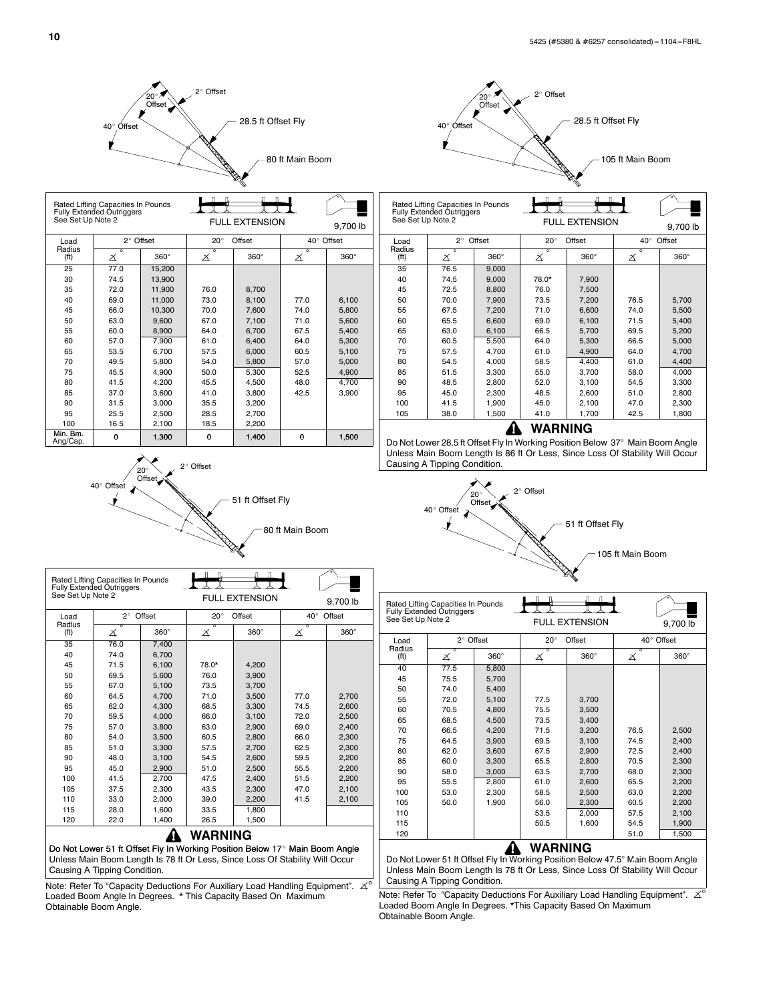$\mathsf{n}$ 





 $\mathbf{u}$ 

| Rated Lifting Capacities In Pounds<br><b>Fully Extended Outriggers</b><br>See Set Up Note 2 |              |             | <b>FULL EXTENSION</b><br>9,700 lb |             |              |             |
|---------------------------------------------------------------------------------------------|--------------|-------------|-----------------------------------|-------------|--------------|-------------|
| Load                                                                                        | 2° Offset    |             | Offset<br>$20^{\circ}$            |             | 40° Offset   |             |
| Radius<br>(f <sup>t</sup> )                                                                 | $\circ$<br>∡ | $360^\circ$ | $\circ$<br>∡                      | $360^\circ$ | $\circ$<br>∡ | $360^\circ$ |
| 25                                                                                          | 77.0         | 15,200      |                                   |             |              |             |
| 30                                                                                          | 74.5         | 13.900      |                                   |             |              |             |
| 35                                                                                          | 72.0         | 11,900      | 76.0                              | 8.700       |              |             |
| 40                                                                                          | 69.0         | 11,000      | 73.0                              | 8.100       | 77.0         | 6,100       |
| 45                                                                                          | 66.0         | 10.300      | 70.0                              | 7.600       | 74.0         | 5.800       |
| 50                                                                                          | 63.0         | 9.600       | 67.0                              | 7.100       | 71.0         | 5.600       |
| 55                                                                                          | 60.0         | 8.900       | 64.0                              | 6.700       | 67.5         | 5.400       |
| 60                                                                                          | 57.0         | 7.900       | 61.0                              | 6.400       | 64.0         | 5,300       |
| 65                                                                                          | 53.5         | 6,700       | 57.5                              | 6,000       | 60.5         | 5,100       |
| 70                                                                                          | 49.5         | 5.800       | 54.0                              | 5,800       | 57.0         | 5.000       |
| 75                                                                                          | 45.5         | 4,900       | 50.0                              | 5,300       | 52.5         | 4,900       |
| 80                                                                                          | 41.5         | 4,200       | 45.5                              | 4.500       | 48.0         | 4,700       |
| 85                                                                                          | 37.0         | 3.600       | 41.0                              | 3,800       | 42.5         | 3,900       |
| 90                                                                                          | 31.5         | 3,000       | 35.5                              | 3,200       |              |             |
| 95                                                                                          | 25.5         | 2.500       | 28.5                              | 2,700       |              |             |
| 100                                                                                         | 16.5         | 2,100       | 18.5                              | 2,200       |              |             |
| Min. Bm.<br>Ang/Cap.                                                                        | $\mathbf 0$  | 1,300       | 0                                 | 1,400       | $\Omega$     | 1,500       |

| See Set Up Note 2           | Rated Lifting Capacities In Pounds<br><b>Fully Extended Outriggers</b> |             |                        |                       |              |             |  |
|-----------------------------|------------------------------------------------------------------------|-------------|------------------------|-----------------------|--------------|-------------|--|
|                             |                                                                        |             |                        | <b>FULL EXTENSION</b> |              | 9,700 lb    |  |
| Load                        | Offset<br>$2^{\circ}$                                                  |             | Offset<br>$20^{\circ}$ |                       | 40° Offset   |             |  |
| Radius<br>(f <sup>t</sup> ) | $\circ$<br>∡                                                           | $360^\circ$ | $\circ$<br>∡           | $360^\circ$           | $\circ$<br>∡ | $360^\circ$ |  |
| 35                          | 76.5                                                                   | 9,000       |                        |                       |              |             |  |
| 40                          | 74.5                                                                   | 9,000       | 78.0*                  | 7,900                 |              |             |  |
| 45                          | 72.5                                                                   | 8,800       | 76.0                   | 7,500                 |              |             |  |
| 50                          | 70.0                                                                   | 7,900       | 73.5                   | 7,200                 | 76.5         | 5,700       |  |
| 55                          | 67.5                                                                   | 7.200       | 71.0                   | 6,600                 | 74.0         | 5.500       |  |
| 60                          | 65.5                                                                   | 6.600       | 69.0                   | 6,100                 | 71.5         | 5,400       |  |
| 65                          | 63.0                                                                   | 6,100       | 66.5                   | 5,700                 | 69.5         | 5,200       |  |
| 70                          | 60.5                                                                   | 5,500       | 64.0                   | 5,300                 | 66.5         | 5,000       |  |
| 75                          | 57.5                                                                   | 4.700       | 61.0                   | 4.900                 | 64.0         | 4,700       |  |
| 80                          | 54.5                                                                   | 4.000       | 58.5                   | 4,400                 | 61.0         | 4,400       |  |
| 85                          | 51.5                                                                   | 3,300       | 55.0                   | 3,700                 | 58.0         | 4,000       |  |
| 90                          | 48.5                                                                   | 2,800       | 52.0                   | 3,100                 | 54.5         | 3,300       |  |
| 95                          | 45.0                                                                   | 2,300       | 48.5                   | 2,600                 | 51.0         | 2,800       |  |
| 100                         | 41.5                                                                   | 1.900       | 45.0                   | 2,100                 | 47.0         | 2,300       |  |
| 105                         | 38.0                                                                   | 1,500       | 41.0                   | 1,700                 | 42.5         | 1,800       |  |
| ́                           |                                                                        |             |                        |                       |              |             |  |

#### **WARNING**

Do Not Lower 28.5 ft Offset Fly In Working Position Below 37° Main Boom Angle Unless Main Boom Length Is 86 ft Or Less, Since Loss Of Stability Will Occur Causing A Tipping Condition.





|                             | Rated Lifting Capacities In Pounds<br><b>Fully Extended Outriggers</b> |             |                        |             |                        |             |  |
|-----------------------------|------------------------------------------------------------------------|-------------|------------------------|-------------|------------------------|-------------|--|
| See Set Up Note 2           |                                                                        |             | <b>FULL EXTENSION</b>  |             | 9,700 lb               |             |  |
| Load                        | Offset<br>$2^{\circ}$                                                  |             | Offset<br>$20^{\circ}$ |             | Offset<br>$40^{\circ}$ |             |  |
| Radius<br>(f <sup>t</sup> ) | $\circ$<br>∡                                                           | $360^\circ$ | $\circ$<br>∡           | $360^\circ$ | $\circ$<br>∡           | $360^\circ$ |  |
| 35                          | 76.0                                                                   | 7,400       |                        |             |                        |             |  |
| 40                          | 74.0                                                                   | 6,700       |                        |             |                        |             |  |
| 45                          | 71.5                                                                   | 6.100       | 78.0*                  | 4,200       |                        |             |  |
| 50                          | 69.5                                                                   | 5,600       | 76.0                   | 3,900       |                        |             |  |
| 55                          | 67.0                                                                   | 5.100       | 73.5                   | 3.700       |                        |             |  |
| 60                          | 64.5                                                                   | 4.700       | 71.0                   | 3,500       | 77.0                   | 2,700       |  |
| 65                          | 62.0                                                                   | 4.300       | 68.5                   | 3.300       | 74.5                   | 2.600       |  |
| 70                          | 59.5                                                                   | 4.000       | 66.0                   | 3,100       | 72.0                   | 2.500       |  |
| 75                          | 57.0                                                                   | 3.800       | 63.0                   | 2,900       | 69.0                   | 2,400       |  |
| 80                          | 54.0                                                                   | 3.500       | 60.5                   | 2.800       | 66.0                   | 2.300       |  |
| 85                          | 51.0                                                                   | 3.300       | 57.5                   | 2.700       | 62.5                   | 2,300       |  |
| 90                          | 48.0                                                                   | 3.100       | 54.5                   | 2.600       | 59.5                   | 2.200       |  |
| 95                          | 45.0                                                                   | 2,900       | 51.0                   | 2,500       | 55.5                   | 2,200       |  |
| 100                         | 41.5                                                                   | 2.700       | 47.5                   | 2.400       | 51.5                   | 2.200       |  |
| 105                         | 37.5                                                                   | 2.300       | 43.5                   | 2.300       | 47.0                   | 2,100       |  |
| 110                         | 33.0                                                                   | 2.000       | 39.0                   | 2,200       | 41.5                   | 2,100       |  |
| 115                         | 28.0                                                                   | 1.600       | 33.5                   | 1,800       |                        |             |  |
| 120                         | 22.0                                                                   | 1,400       | 26.5                   | 1,500       |                        |             |  |
| ́                           |                                                                        |             |                        |             |                        |             |  |

#### **WARNING**

Do Not Lower 51 ft Offset Fly In Working Position Below 17° Main Boom Angle Unless Main Boom Length Is 78 ft Or Less, Since Loss Of Stability Will Occur Causing A Tipping Condition.

Note: Refer To "Capacity Deductions For Auxiliary Load Handling Equipment".  $\angle^{\circ}$ Loaded Boom Angle In Degrees. \* This Capacity Based On Maximum Obtainable Boom Angle.

| Rated Lifting Capacities In Pounds<br><b>Fully Extended Outriggers</b><br>See Set Up Note 2 |              |             |                        | <b>FULL EXTENSION</b> | 9,700 lb     |             |  |
|---------------------------------------------------------------------------------------------|--------------|-------------|------------------------|-----------------------|--------------|-------------|--|
| Load                                                                                        | 2° Offset    |             | Offset<br>$20^{\circ}$ |                       | 40° Offset   |             |  |
| Radius<br>(f <sup>t</sup> )                                                                 | $\circ$<br>∡ | $360^\circ$ | $\circ$<br>∡           | $360^\circ$           | $\circ$<br>∡ | $360^\circ$ |  |
| 40                                                                                          | 77.5         | 5,800       |                        |                       |              |             |  |
| 45                                                                                          | 75.5         | 5,700       |                        |                       |              |             |  |
| 50                                                                                          | 74.0         | 5,400       |                        |                       |              |             |  |
| 55                                                                                          | 72.0         | 5,100       | 77.5                   | 3,700                 |              |             |  |
| 60                                                                                          | 70.5         | 4,800       | 75.5                   | 3,500                 |              |             |  |
| 65                                                                                          | 68.5         | 4,500       | 73.5                   | 3.400                 |              |             |  |
| 70                                                                                          | 66.5         | 4.200       | 71.5                   | 3,200                 | 76.5         | 2,500       |  |
| 75                                                                                          | 64.5         | 3,900       | 69.5                   | 3,100                 | 74.5         | 2,400       |  |
| 80                                                                                          | 62.0         | 3,600       | 67.5                   | 2,900                 | 72.5         | 2,400       |  |
| 85                                                                                          | 60.0         | 3.300       | 65.5                   | 2,800                 | 70.5         | 2,300       |  |
| 90                                                                                          | 58.0         | 3,000       | 63.5                   | 2,700                 | 68.0         | 2,300       |  |
| 95                                                                                          | 55.5         | 2,800       | 61.0                   | 2.600                 | 65.5         | 2,200       |  |
| 100                                                                                         | 53.0         | 2,300       | 58.5                   | 2,500                 | 63.0         | 2,200       |  |
| 105                                                                                         | 50.0         | 1,900       | 56.0                   | 2,300                 | 60.5         | 2,200       |  |
| 110                                                                                         |              |             | 53.5                   | 2.000                 | 57.5         | 2,100       |  |
| 115                                                                                         |              |             | 50.5                   | 1,600                 | 54.5         | 1,900       |  |
| 120                                                                                         |              |             |                        |                       | 51.0         | 1,500       |  |
| Λ<br>,,,,,,,,,,,,                                                                           |              |             |                        |                       |              |             |  |

Do Not Lower 51 ft Offset Fly In Working Position Below 47.5° Main Boom Angle **WARNING** Unless Main Boom Length Is 78 ft Or Less, Since Loss Of Stability Will Occur Causing A Tipping Condition.

Note: Refer To "Capacity Deductions For Auxiliary Load Handling Equipment".  $\measuredangle^\circ$ Loaded Boom Angle In Degrees. \*This Capacity Based On Maximum Obtainable Boom Angle.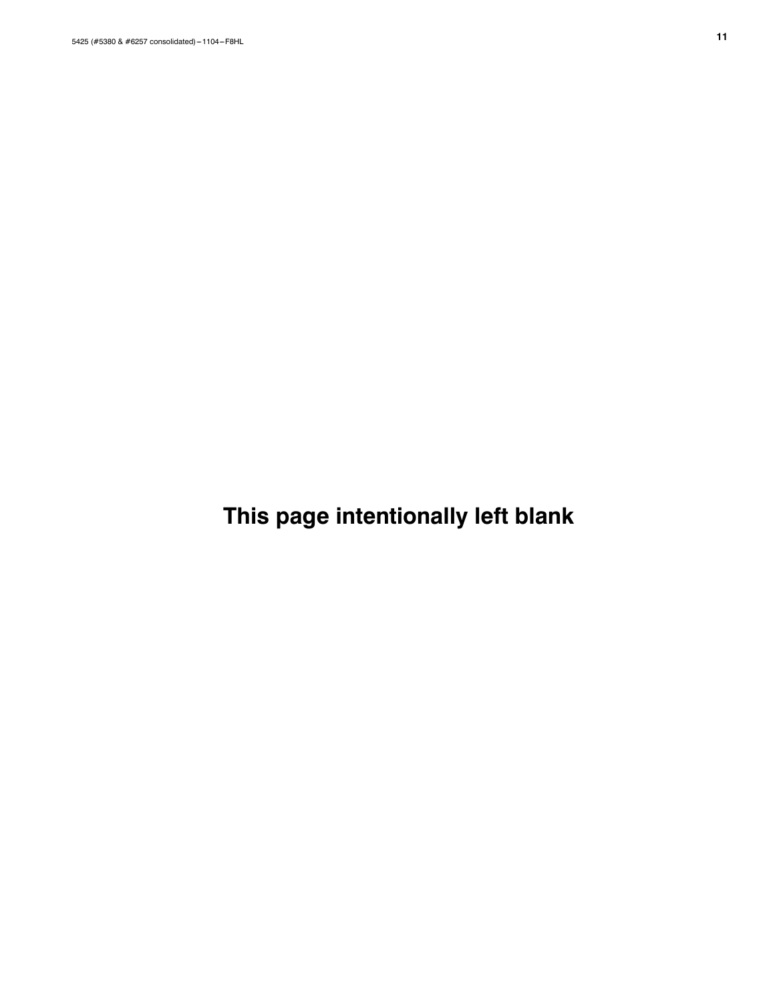**This page intentionally left blank**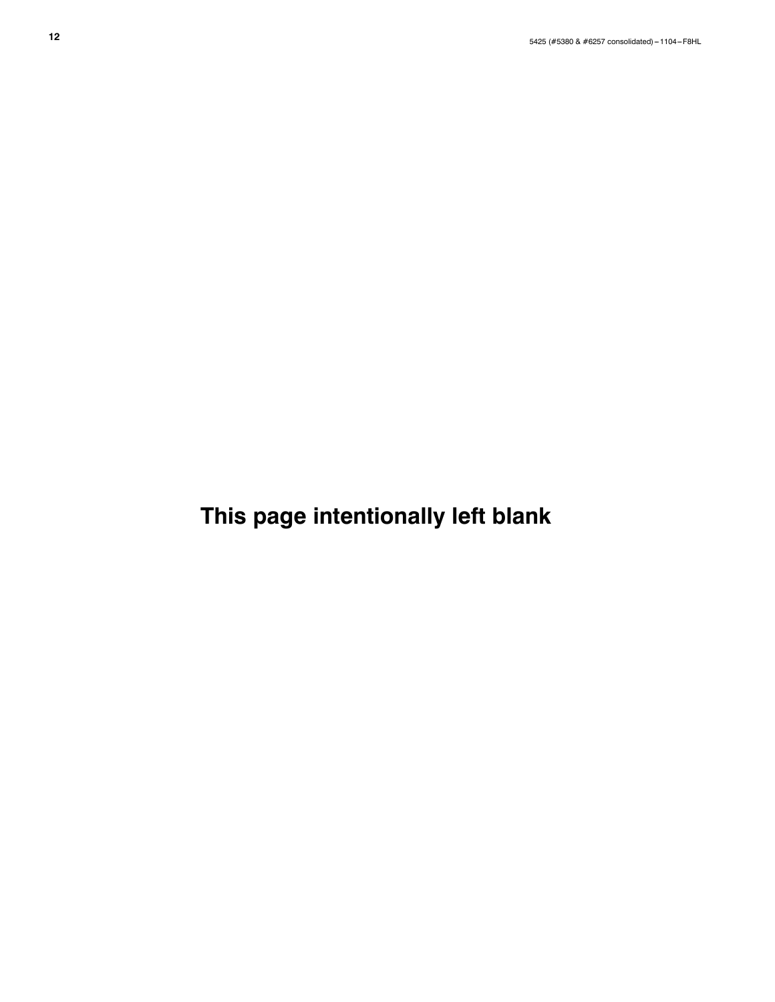**This page intentionally left blank**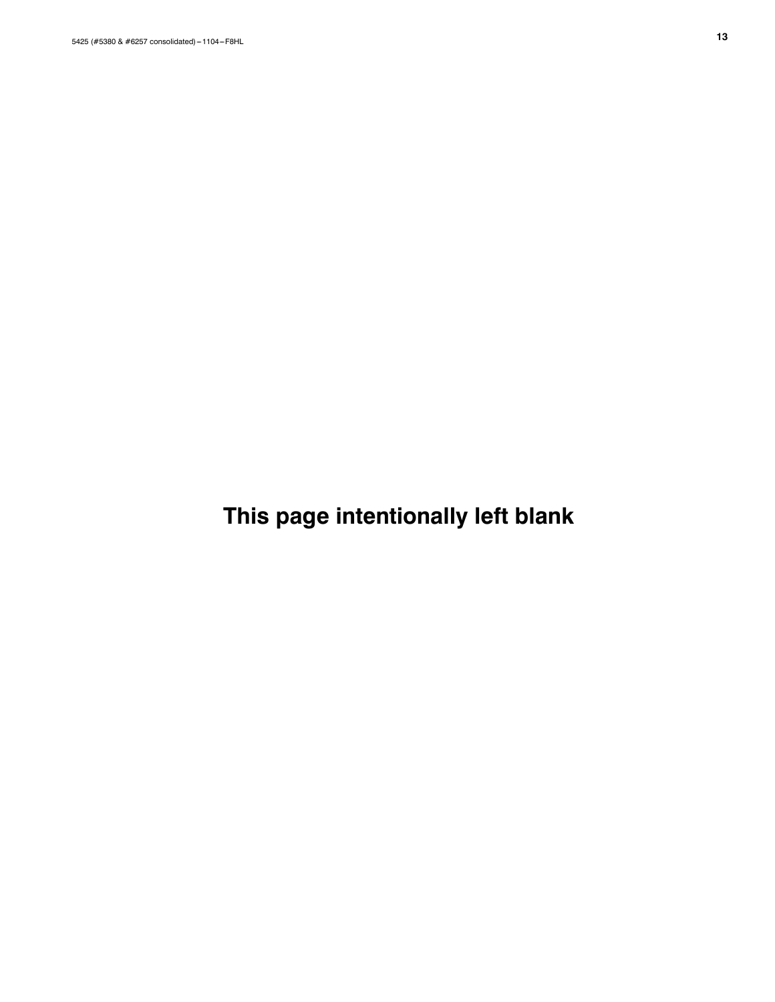**This page intentionally left blank**